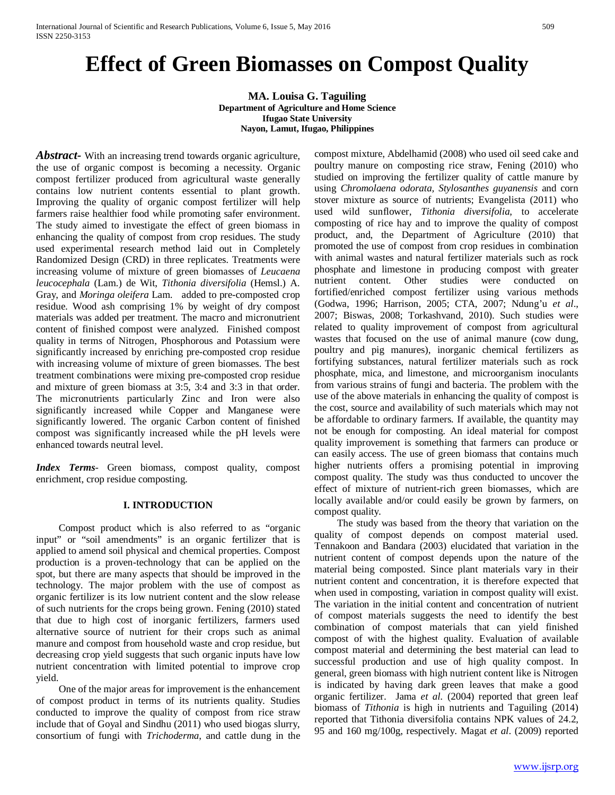# **Effect of Green Biomasses on Compost Quality**

**MA. Louisa G. Taguiling Department of Agriculture and Home Science Ifugao State University Nayon, Lamut, Ifugao, Philippines**

*Abstract-* With an increasing trend towards organic agriculture, the use of organic compost is becoming a necessity. Organic compost fertilizer produced from agricultural waste generally contains low nutrient contents essential to plant growth. Improving the quality of organic compost fertilizer will help farmers raise healthier food while promoting safer environment. The study aimed to investigate the effect of green biomass in enhancing the quality of compost from crop residues. The study used experimental research method laid out in Completely Randomized Design (CRD) in three replicates. Treatments were increasing volume of mixture of green biomasses of *Leucaena leucocephala* (Lam.) de Wit, *Tithonia diversifolia* (Hemsl.) A. Gray, and *Moringa oleifera* Lam. added to pre-composted crop residue. Wood ash comprising 1% by weight of dry compost materials was added per treatment. The macro and micronutrient content of finished compost were analyzed. Finished compost quality in terms of Nitrogen, Phosphorous and Potassium were significantly increased by enriching pre-composted crop residue with increasing volume of mixture of green biomasses. The best treatment combinations were mixing pre-composted crop residue and mixture of green biomass at 3:5, 3:4 and 3:3 in that order. The micronutrients particularly Zinc and Iron were also significantly increased while Copper and Manganese were significantly lowered. The organic Carbon content of finished compost was significantly increased while the pH levels were enhanced towards neutral level.

*Index Terms*- Green biomass, compost quality, compost enrichment, crop residue composting.

# **I. INTRODUCTION**

Compost product which is also referred to as "organic input" or "soil amendments" is an organic fertilizer that is applied to amend soil physical and chemical properties. Compost production is a proven-technology that can be applied on the spot, but there are many aspects that should be improved in the technology. The major problem with the use of compost as organic fertilizer is its low nutrient content and the slow release of such nutrients for the crops being grown. Fening (2010) stated that due to high cost of inorganic fertilizers, farmers used alternative source of nutrient for their crops such as animal manure and compost from household waste and crop residue, but decreasing crop yield suggests that such organic inputs have low nutrient concentration with limited potential to improve crop yield.

One of the major areas for improvement is the enhancement of compost product in terms of its nutrients quality. Studies conducted to improve the quality of compost from rice straw include that of Goyal and Sindhu (2011) who used biogas slurry, consortium of fungi with *Trichoderma*, and cattle dung in the compost mixture, Abdelhamid (2008) who used oil seed cake and poultry manure on composting rice straw, Fening (2010) who studied on improving the fertilizer quality of cattle manure by using *Chromolaena odorata, Stylosanthes guyanensis* and corn stover mixture as source of nutrients; Evangelista (2011) who used wild sunflower, *Tithonia diversifolia*, to accelerate composting of rice hay and to improve the quality of compost product, and, the Department of Agriculture (2010) that promoted the use of compost from crop residues in combination with animal wastes and natural fertilizer materials such as rock phosphate and limestone in producing compost with greater nutrient content. Other studies were conducted on fortified/enriched compost fertilizer using various methods (Godwa, 1996; Harrison, 2005; CTA, 2007; Ndung'u *et al*., 2007; Biswas, 2008; Torkashvand, 2010). Such studies were related to quality improvement of compost from agricultural wastes that focused on the use of animal manure (cow dung, poultry and pig manures), inorganic chemical fertilizers as fortifying substances, natural fertilizer materials such as rock phosphate, mica, and limestone, and microorganism inoculants from various strains of fungi and bacteria. The problem with the use of the above materials in enhancing the quality of compost is the cost, source and availability of such materials which may not be affordable to ordinary farmers. If available, the quantity may not be enough for composting. An ideal material for compost quality improvement is something that farmers can produce or can easily access. The use of green biomass that contains much higher nutrients offers a promising potential in improving compost quality. The study was thus conducted to uncover the effect of mixture of nutrient-rich green biomasses, which are locally available and/or could easily be grown by farmers, on compost quality.

The study was based from the theory that variation on the quality of compost depends on compost material used. Tennakoon and Bandara (2003) elucidated that variation in the nutrient content of compost depends upon the nature of the material being composted. Since plant materials vary in their nutrient content and concentration, it is therefore expected that when used in composting, variation in compost quality will exist. The variation in the initial content and concentration of nutrient of compost materials suggests the need to identify the best combination of compost materials that can yield finished compost of with the highest quality. Evaluation of available compost material and determining the best material can lead to successful production and use of high quality compost. In general, green biomass with high nutrient content like is Nitrogen is indicated by having dark green leaves that make a good organic fertilizer. Jama *et al*. (2004) reported that green leaf biomass of *Tithonia* is high in nutrients and Taguiling (2014) reported that Tithonia diversifolia contains NPK values of 24.2, 95 and 160 mg/100g, respectively. Magat *et al*. (2009) reported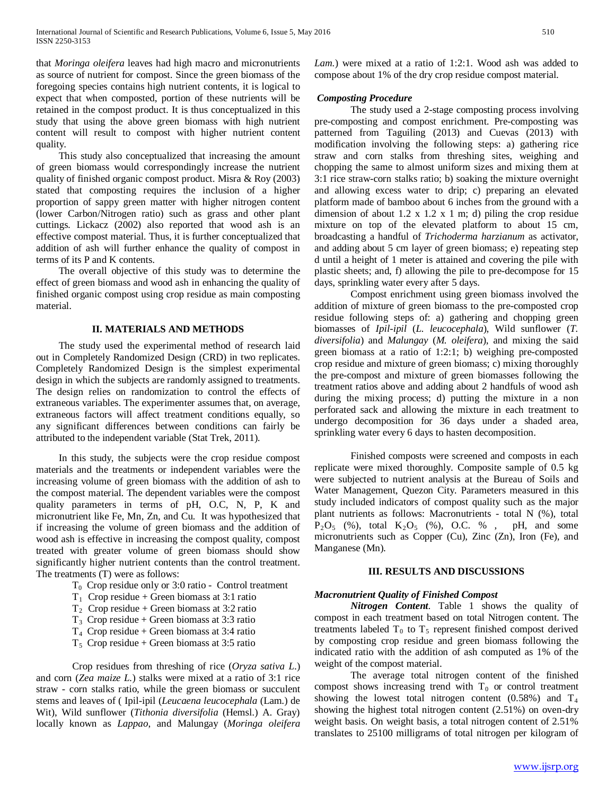that *Moringa oleifera* leaves had high macro and micronutrients as source of nutrient for compost. Since the green biomass of the foregoing species contains high nutrient contents, it is logical to expect that when composted, portion of these nutrients will be retained in the compost product. It is thus conceptualized in this study that using the above green biomass with high nutrient content will result to compost with higher nutrient content quality.

This study also conceptualized that increasing the amount of green biomass would correspondingly increase the nutrient quality of finished organic compost product. Misra & Roy (2003) stated that composting requires the inclusion of a higher proportion of sappy green matter with higher nitrogen content (lower Carbon/Nitrogen ratio) such as grass and other plant cuttings. Lickacz (2002) also reported that wood ash is an effective compost material. Thus, it is further conceptualized that addition of ash will further enhance the quality of compost in terms of its P and K contents.

The overall objective of this study was to determine the effect of green biomass and wood ash in enhancing the quality of finished organic compost using crop residue as main composting material.

## **II. MATERIALS AND METHODS**

The study used the experimental method of research laid out in Completely Randomized Design (CRD) in two replicates. Completely Randomized Design is the simplest experimental design in which the subjects are randomly assigned to treatments. The design relies on randomization to control the effects of extraneous variables. The experimenter assumes that, on average, extraneous factors will affect treatment conditions equally, so any significant differences between conditions can fairly be attributed to the independent variable (Stat Trek, 2011).

In this study, the subjects were the crop residue compost materials and the treatments or independent variables were the increasing volume of green biomass with the addition of ash to the compost material. The dependent variables were the compost quality parameters in terms of pH, O.C, N, P, K and micronutrient like Fe, Mn, Zn, and Cu. It was hypothesized that if increasing the volume of green biomass and the addition of wood ash is effective in increasing the compost quality, compost treated with greater volume of green biomass should show significantly higher nutrient contents than the control treatment. The treatments (T) were as follows:

- T0 Crop residue only or 3:0 ratio Control treatment
- $T_1$  Crop residue + Green biomass at 3:1 ratio
- $T_2$  Crop residue + Green biomass at 3:2 ratio
- $T_3$  Crop residue + Green biomass at 3:3 ratio
- $T_4$  Crop residue + Green biomass at 3:4 ratio
- $T_5$  Crop residue + Green biomass at 3:5 ratio

Crop residues from threshing of rice (*Oryza sativa L*.) and corn (*Zea maize L.*) stalks were mixed at a ratio of 3:1 rice straw - corn stalks ratio, while the green biomass or succulent stems and leaves of ( Ipil-ipil (*Leucaena leucocephala* (Lam.) de Wit), Wild sunflower (*Tithonia diversifolia* (Hemsl.) A. Gray) locally known as *Lappao*, and Malungay (*Moringa oleifera*  *Lam.*) were mixed at a ratio of 1:2:1. Wood ash was added to compose about 1% of the dry crop residue compost material.

# *Composting Procedure*

The study used a 2-stage composting process involving pre-composting and compost enrichment. Pre-composting was patterned from Taguiling (2013) and Cuevas (2013) with modification involving the following steps: a) gathering rice straw and corn stalks from threshing sites, weighing and chopping the same to almost uniform sizes and mixing them at 3:1 rice straw-corn stalks ratio; b) soaking the mixture overnight and allowing excess water to drip; c) preparing an elevated platform made of bamboo about 6 inches from the ground with a dimension of about 1.2 x 1.2 x 1 m; d) piling the crop residue mixture on top of the elevated platform to about 15 cm, broadcasting a handful of *Trichoderma harzianum* as activator, and adding about 5 cm layer of green biomass; e) repeating step d until a height of 1 meter is attained and covering the pile with plastic sheets; and, f) allowing the pile to pre-decompose for 15 days, sprinkling water every after 5 days.

Compost enrichment using green biomass involved the addition of mixture of green biomass to the pre-composted crop residue following steps of: a) gathering and chopping green biomasses of *Ipil-ipil* (*L. leucocephala*), Wild sunflower (*T. diversifolia*) and *Malungay* (*M. oleifera*), and mixing the said green biomass at a ratio of 1:2:1; b) weighing pre-composted crop residue and mixture of green biomass; c) mixing thoroughly the pre-compost and mixture of green biomasses following the treatment ratios above and adding about 2 handfuls of wood ash during the mixing process; d) putting the mixture in a non perforated sack and allowing the mixture in each treatment to undergo decomposition for 36 days under a shaded area, sprinkling water every 6 days to hasten decomposition.

Finished composts were screened and composts in each replicate were mixed thoroughly. Composite sample of 0.5 kg were subjected to nutrient analysis at the Bureau of Soils and Water Management, Quezon City. Parameters measured in this study included indicators of compost quality such as the major plant nutrients as follows: Macronutrients - total N (%), total  $P_2O_5$  (%), total  $K_2O_5$  (%), O.C. %, pH, and some micronutrients such as Copper (Cu), Zinc (Zn), Iron (Fe), and Manganese (Mn).

## **III. RESULTS AND DISCUSSIONS**

## *Macronutrient Quality of Finished Compost*

*Nitrogen Content*. Table 1 shows the quality of compost in each treatment based on total Nitrogen content. The treatments labeled  $T_0$  to  $T_5$  represent finished compost derived by composting crop residue and green biomass following the indicated ratio with the addition of ash computed as 1% of the weight of the compost material.

The average total nitrogen content of the finished compost shows increasing trend with  $T_0$  or control treatment showing the lowest total nitrogen content  $(0.58\%)$  and  $T_4$ showing the highest total nitrogen content (2.51%) on oven-dry weight basis. On weight basis, a total nitrogen content of 2.51% translates to 25100 milligrams of total nitrogen per kilogram of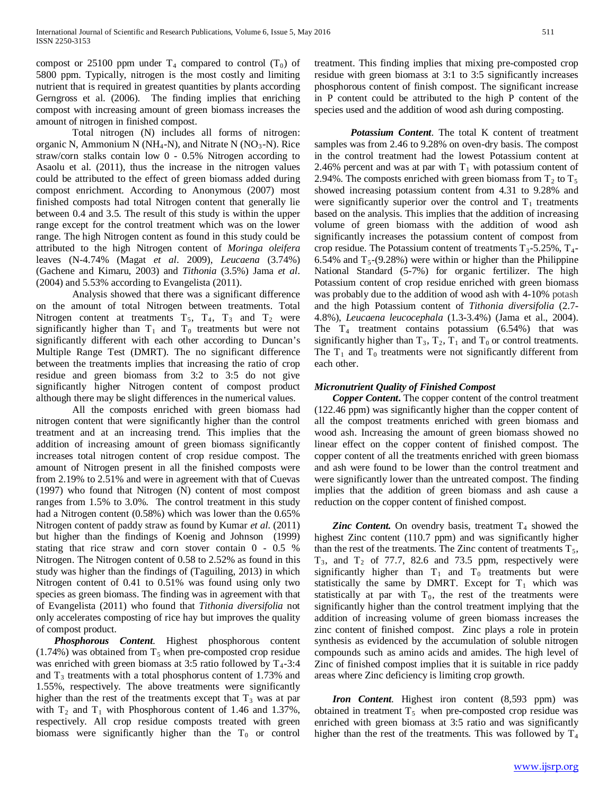compost or 25100 ppm under  $T_4$  compared to control  $(T_0)$  of 5800 ppm. Typically, nitrogen is the most costly and limiting nutrient that is required in greatest quantities by plants according Gerngross et al. (2006). The finding implies that enriching compost with increasing amount of green biomass increases the amount of nitrogen in finished compost.

Total nitrogen (N) includes all forms of nitrogen: organic N, Ammonium N ( $NH_4-N$ ), and Nitrate N ( $NO_3-N$ ). Rice straw/corn stalks contain low 0 - 0.5% Nitrogen according to Asaolu et al. (2011), thus the increase in the nitrogen values could be attributed to the effect of green biomass added during compost enrichment. According to Anonymous (2007) most finished composts had total Nitrogen content that generally lie between 0.4 and 3.5. The result of this study is within the upper range except for the control treatment which was on the lower range. The high Nitrogen content as found in this study could be attributed to the high Nitrogen content of *Moringa oleifera* leaves (N-4.74% (Magat *et al*. 2009), *Leucaena* (3.74%) (Gachene and Kimaru, 2003) and *Tithonia* (3.5%) Jama *et al*. (2004) and 5.53% according to Evangelista (2011).

Analysis showed that there was a significant difference on the amount of total Nitrogen between treatments. Total Nitrogen content at treatments  $T_5$ ,  $T_4$ ,  $T_3$  and  $T_2$  were significantly higher than  $T_1$  and  $T_0$  treatments but were not significantly different with each other according to Duncan's Multiple Range Test (DMRT). The no significant difference between the treatments implies that increasing the ratio of crop residue and green biomass from 3:2 to 3:5 do not give significantly higher Nitrogen content of compost product although there may be slight differences in the numerical values.

All the composts enriched with green biomass had nitrogen content that were significantly higher than the control treatment and at an increasing trend. This implies that the addition of increasing amount of green biomass significantly increases total nitrogen content of crop residue compost. The amount of Nitrogen present in all the finished composts were from 2.19% to 2.51% and were in agreement with that of Cuevas (1997) who found that Nitrogen (N) content of most compost ranges from 1.5% to 3.0%. The control treatment in this study had a Nitrogen content (0.58%) which was lower than the 0.65% Nitrogen content of paddy straw as found by Kumar *et al*. (2011) but higher than the findings of Koenig and Johnson (1999) stating that rice straw and corn stover contain 0 - 0.5 % Nitrogen. The Nitrogen content of 0.58 to 2.52% as found in this study was higher than the findings of (Taguiling, 2013) in which Nitrogen content of 0.41 to 0.51% was found using only two species as green biomass. The finding was in agreement with that of Evangelista (2011) who found that *Tithonia diversifolia* not only accelerates composting of rice hay but improves the quality of compost product.

*Phosphorous Content*. Highest phosphorous content  $(1.74%)$  was obtained from T<sub>5</sub> when pre-composted crop residue was enriched with green biomass at 3:5 ratio followed by  $T_4$ -3:4 and  $T_3$  treatments with a total phosphorus content of 1.73% and 1.55%, respectively. The above treatments were significantly higher than the rest of the treatments except that  $T_3$  was at par with  $T_2$  and  $T_1$  with Phosphorous content of 1.46 and 1.37%, respectively. All crop residue composts treated with green biomass were significantly higher than the  $T_0$  or control

treatment. This finding implies that mixing pre-composted crop residue with green biomass at 3:1 to 3:5 significantly increases phosphorous content of finish compost. The significant increase in P content could be attributed to the high P content of the species used and the addition of wood ash during composting.

*Potassium Content*. The total K content of treatment samples was from 2.46 to 9.28% on oven-dry basis. The compost in the control treatment had the lowest Potassium content at 2.46% percent and was at par with  $T_1$  with potassium content of 2.94%. The composts enriched with green biomass from  $T_2$  to  $T_5$ showed increasing potassium content from 4.31 to 9.28% and were significantly superior over the control and  $T_1$  treatments based on the analysis. This implies that the addition of increasing volume of green biomass with the addition of wood ash significantly increases the potassium content of compost from crop residue. The Potassium content of treatments  $T_3$ -5.25%,  $T_4$ -6.54% and  $T_5$ -(9.28%) were within or higher than the Philippine National Standard (5-7%) for organic fertilizer. The high Potassium content of crop residue enriched with green biomass was probably due to the addition of wood ash with 4-10% potash and the high Potassium content of *Tithonia diversifolia* (2.7- 4.8%), *Leucaena leucocephala* (1.3-3.4%) (Jama et al., 2004). The  $T_4$  treatment contains potassium (6.54%) that was significantly higher than  $T_3$ ,  $T_2$ ,  $T_1$  and  $T_0$  or control treatments. The  $T_1$  and  $T_0$  treatments were not significantly different from each other.

# *Micronutrient Quality of Finished Compost*

*Copper Content***.** The copper content of the control treatment (122.46 ppm) was significantly higher than the copper content of all the compost treatments enriched with green biomass and wood ash. Increasing the amount of green biomass showed no linear effect on the copper content of finished compost. The copper content of all the treatments enriched with green biomass and ash were found to be lower than the control treatment and were significantly lower than the untreated compost. The finding implies that the addition of green biomass and ash cause a reduction on the copper content of finished compost.

**Zinc Content.** On ovendry basis, treatment  $T_4$  showed the highest Zinc content (110.7 ppm) and was significantly higher than the rest of the treatments. The Zinc content of treatments  $T_5$ ,  $T_3$ , and  $T_2$  of 77.7, 82.6 and 73.5 ppm, respectively were significantly higher than  $T_1$  and  $T_0$  treatments but were statistically the same by DMRT. Except for  $T_1$  which was statistically at par with  $T_0$ , the rest of the treatments were significantly higher than the control treatment implying that the addition of increasing volume of green biomass increases the zinc content of finished compost. Zinc plays a role in protein synthesis as evidenced by the accumulation of soluble nitrogen compounds such as amino acids and amides. The high level of Zinc of finished compost implies that it is suitable in rice paddy areas where Zinc deficiency is limiting crop growth.

*Iron Content*. Highest iron content (8,593 ppm) was obtained in treatment  $T_5$  when pre-composted crop residue was enriched with green biomass at 3:5 ratio and was significantly higher than the rest of the treatments. This was followed by  $T_4$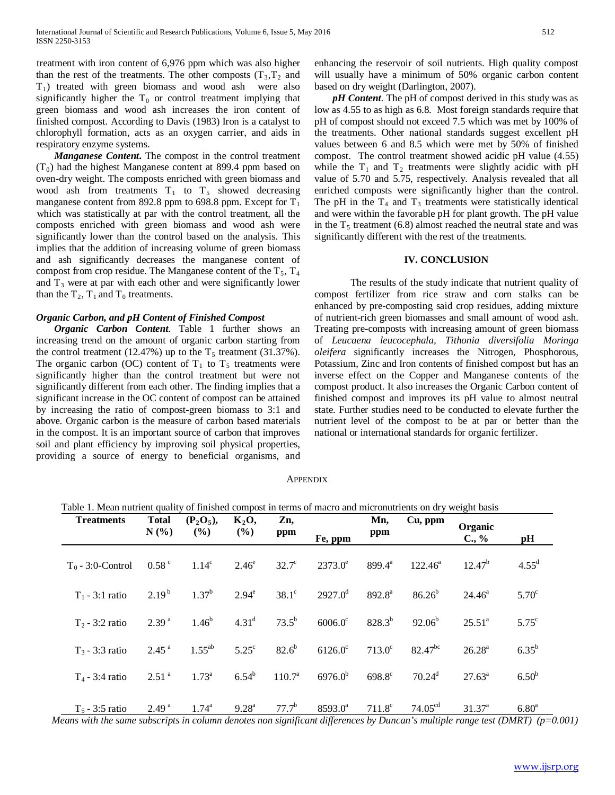treatment with iron content of 6,976 ppm which was also higher than the rest of the treatments. The other composts  $(T_3, T_2)$  and  $T_1$ ) treated with green biomass and wood ash were also significantly higher the  $T_0$  or control treatment implying that green biomass and wood ash increases the iron content of finished compost. According to Davis (1983) Iron is a catalyst to chlorophyll formation, acts as an oxygen carrier, and aids in respiratory enzyme systems.

*Manganese Content***.** The compost in the control treatment  $(T_0)$  had the highest Manganese content at 899.4 ppm based on oven-dry weight. The composts enriched with green biomass and wood ash from treatments  $T_1$  to  $T_5$  showed decreasing manganese content from 892.8 ppm to 698.8 ppm. Except for  $T_1$ which was statistically at par with the control treatment, all the composts enriched with green biomass and wood ash were significantly lower than the control based on the analysis. This implies that the addition of increasing volume of green biomass and ash significantly decreases the manganese content of compost from crop residue. The Manganese content of the  $T_5$ ,  $T_4$ and  $T_3$  were at par with each other and were significantly lower than the  $T_2$ ,  $T_1$  and  $T_0$  treatments.

## *Organic Carbon, and pH Content of Finished Compost*

*Organic Carbon Content*. Table 1 further shows an increasing trend on the amount of organic carbon starting from the control treatment (12.47%) up to the  $T_5$  treatment (31.37%). The organic carbon (OC) content of  $T_1$  to  $T_5$  treatments were significantly higher than the control treatment but were not significantly different from each other. The finding implies that a significant increase in the OC content of compost can be attained by increasing the ratio of compost-green biomass to 3:1 and above. Organic carbon is the measure of carbon based materials in the compost. It is an important source of carbon that improves soil and plant efficiency by improving soil physical properties, providing a source of energy to beneficial organisms, and enhancing the reservoir of soil nutrients. High quality compost will usually have a minimum of 50% organic carbon content based on dry weight (Darlington, 2007).

*pH Content*. The pH of compost derived in this study was as low as 4.55 to as high as 6.8. Most foreign standards require that pH of compost should not exceed 7.5 which was met by 100% of the treatments. Other national standards suggest excellent pH values between 6 and 8.5 which were met by 50% of finished compost. The control treatment showed acidic pH value (4.55) while the  $T_1$  and  $T_2$  treatments were slightly acidic with pH value of 5.70 and 5.75, respectively. Analysis revealed that all enriched composts were significantly higher than the control. The pH in the  $T_4$  and  $T_3$  treatments were statistically identical and were within the favorable pH for plant growth. The pH value in the  $T_5$  treatment (6.8) almost reached the neutral state and was significantly different with the rest of the treatments.

## **IV. CONCLUSION**

The results of the study indicate that nutrient quality of compost fertilizer from rice straw and corn stalks can be enhanced by pre-composting said crop residues, adding mixture of nutrient-rich green biomasses and small amount of wood ash. Treating pre-composts with increasing amount of green biomass of *Leucaena leucocephala, Tithonia diversifolia Moringa oleifera* significantly increases the Nitrogen, Phosphorous, Potassium, Zinc and Iron contents of finished compost but has an inverse effect on the Copper and Manganese contents of the compost product. It also increases the Organic Carbon content of finished compost and improves its pH value to almost neutral state. Further studies need to be conducted to elevate further the nutrient level of the compost to be at par or better than the national or international standards for organic fertilizer.

## **APPENDIX**

|  | Table 1. Mean nutrient quality of finished compost in terms of macro and micronutrients on dry weight basis |
|--|-------------------------------------------------------------------------------------------------------------|
|  |                                                                                                             |

| <b>Treatments</b>   | <b>Total</b><br>N(%) | $(P_2O_5),$<br>(%) | $K_2O,$<br>$($ %) | Zn,<br>ppm         | Fe, ppm          | Mn,<br>ppm         | Cu, ppm              | Organic<br>C., % | pH                |
|---------------------|----------------------|--------------------|-------------------|--------------------|------------------|--------------------|----------------------|------------------|-------------------|
| $T_0$ - 3:0-Control | $0.58$ <sup>c</sup>  | 1.14 <sup>c</sup>  | $2.46^\mathrm{e}$ | $32.7^\circ$       | $2373.0^e$       | $899.4^{\text{a}}$ | $122.46^a$           | $12.47^{b}$      | $4.55^{\rm d}$    |
| $T_1 - 3:1$ ratio   | $2.19^{b}$           | $1.37^{b}$         | $2.94^e$          | $38.1^\circ$       | $2927.0^{\rm d}$ | $892.8^{\circ}$    | $86.26^{b}$          | $24.46^{\circ}$  | $5.70^{\circ}$    |
| $T2 - 3:2$ ratio    | 2.39 <sup>a</sup>    | $1.46^{b}$         | $4.31^d$          | $73.5^{b}$         | $6006.0^{\circ}$ | $828.3^{b}$        | $92.06^b$            | $25.51^a$        | $5.75^{\circ}$    |
| $T_3 - 3:3$ ratio   | $2.45$ <sup>a</sup>  | $1.55^{ab}$        | $5.25^{\circ}$    | $82.6^{b}$         | $6126.0^{\circ}$ | $713.0^{\circ}$    | $82.47^{bc}$         | $26.28^{a}$      | $6.35^{b}$        |
| $T_4$ - 3:4 ratio   | 2.51 <sup>a</sup>    | $1.73^{\circ}$     | $6.54^{b}$        | 110.7 <sup>a</sup> | $6976.0^{b}$     | $698.8^{\circ}$    | $70.24$ <sup>d</sup> | $27.63^{\circ}$  | 6.50 <sup>b</sup> |
| $T_5$ - 3:5 ratio   | 2.49 <sup>a</sup>    | $1.74^{a}$         | $9.28^{\text{a}}$ | $77.7^b$           | $8593.0^{\circ}$ | $711.8^{\circ}$    | 74.05 <sup>cd</sup>  | $31.37^{\circ}$  | 6.80 <sup>a</sup> |

 *Means with the same subscripts in column denotes non significant differences by Duncan's multiple range test (DMRT) (p=0.001)*